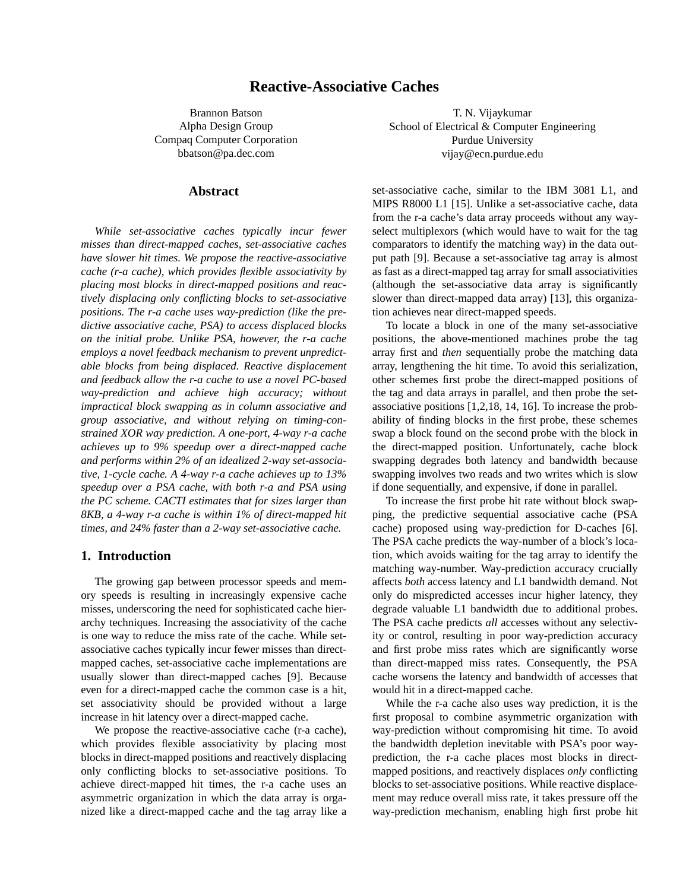# **Reactive-Associative Caches**

Brannon Batson Alpha Design Group Compaq Computer Corporation bbatson@pa.dec.com

### **Abstract**

*While set-associative caches typically incur fewer misses than direct-mapped caches, set-associative caches have slower hit times. We propose the reactive-associative cache (r-a cache), which provides flexible associativity by placing most blocks in direct-mapped positions and reactively displacing only conflicting blocks to set-associative positions. The r-a cache uses way-prediction (like the predictive associative cache, PSA) to access displaced blocks on the initial probe. Unlike PSA, however, the r-a cache employs a novel feedback mechanism to prevent unpredictable blocks from being displaced. Reactive displacement and feedback allow the r-a cache to use a novel PC-based way-prediction and achieve high accuracy; without impractical block swapping as in column associative and group associative, and without relying on timing-constrained XOR way prediction. A one-port, 4-way r-a cache achieves up to 9% speedup over a direct-mapped cache and performs within 2% of an idealized 2-way set-associative, 1-cycle cache. A 4-way r-a cache achieves up to 13% speedup over a PSA cache, with both r-a and PSA using the PC scheme. CACTI estimates that for sizes larger than 8KB, a 4-way r-a cache is within 1% of direct-mapped hit times, and 24% faster than a 2-way set-associative cache.*

## **1. Introduction**

The growing gap between processor speeds and memory speeds is resulting in increasingly expensive cache misses, underscoring the need for sophisticated cache hierarchy techniques. Increasing the associativity of the cache is one way to reduce the miss rate of the cache. While setassociative caches typically incur fewer misses than directmapped caches, set-associative cache implementations are usually slower than direct-mapped caches [9]. Because even for a direct-mapped cache the common case is a hit, set associativity should be provided without a large increase in hit latency over a direct-mapped cache.

We propose the reactive-associative cache (r-a cache), which provides flexible associativity by placing most blocks in direct-mapped positions and reactively displacing only conflicting blocks to set-associative positions. To achieve direct-mapped hit times, the r-a cache uses an asymmetric organization in which the data array is organized like a direct-mapped cache and the tag array like a

T. N. Vijaykumar School of Electrical & Computer Engineering Purdue University vijay@ecn.purdue.edu

set-associative cache, similar to the IBM 3081 L1, and MIPS R8000 L1 [15]. Unlike a set-associative cache, data from the r-a cache's data array proceeds without any wayselect multiplexors (which would have to wait for the tag comparators to identify the matching way) in the data output path [9]. Because a set-associative tag array is almost as fast as a direct-mapped tag array for small associativities (although the set-associative data array is significantly slower than direct-mapped data array) [13], this organization achieves near direct-mapped speeds.

To locate a block in one of the many set-associative positions, the above-mentioned machines probe the tag array first and *then* sequentially probe the matching data array, lengthening the hit time. To avoid this serialization, other schemes first probe the direct-mapped positions of the tag and data arrays in parallel, and then probe the setassociative positions [1,2,18, 14, 16]. To increase the probability of finding blocks in the first probe, these schemes swap a block found on the second probe with the block in the direct-mapped position. Unfortunately, cache block swapping degrades both latency and bandwidth because swapping involves two reads and two writes which is slow if done sequentially, and expensive, if done in parallel.

To increase the first probe hit rate without block swapping, the predictive sequential associative cache (PSA cache) proposed using way-prediction for D-caches [6]. The PSA cache predicts the way-number of a block's location, which avoids waiting for the tag array to identify the matching way-number. Way-prediction accuracy crucially affects *both* access latency and L1 bandwidth demand. Not only do mispredicted accesses incur higher latency, they degrade valuable L1 bandwidth due to additional probes. The PSA cache predicts *all* accesses without any selectivity or control, resulting in poor way-prediction accuracy and first probe miss rates which are significantly worse than direct-mapped miss rates. Consequently, the PSA cache worsens the latency and bandwidth of accesses that would hit in a direct-mapped cache.

While the r-a cache also uses way prediction, it is the first proposal to combine asymmetric organization with way-prediction without compromising hit time. To avoid the bandwidth depletion inevitable with PSA's poor wayprediction, the r-a cache places most blocks in directmapped positions, and reactively displaces *only* conflicting blocks to set-associative positions. While reactive displacement may reduce overall miss rate, it takes pressure off the way-prediction mechanism, enabling high first probe hit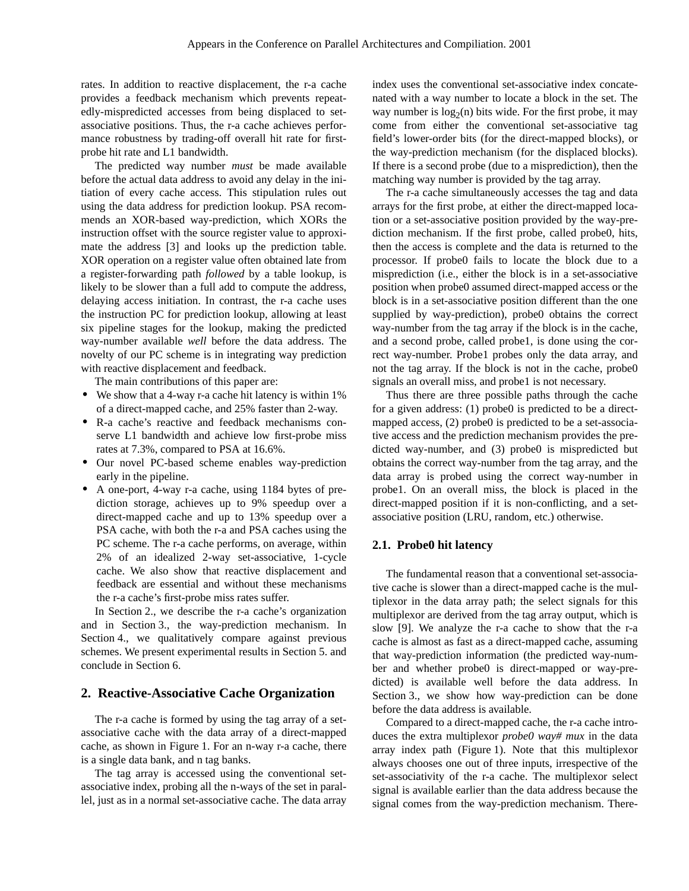rates. In addition to reactive displacement, the r-a cache provides a feedback mechanism which prevents repeatedly-mispredicted accesses from being displaced to setassociative positions. Thus, the r-a cache achieves performance robustness by trading-off overall hit rate for firstprobe hit rate and L1 bandwidth.

The predicted way number *must* be made available before the actual data address to avoid any delay in the initiation of every cache access. This stipulation rules out using the data address for prediction lookup. PSA recommends an XOR-based way-prediction, which XORs the instruction offset with the source register value to approximate the address [3] and looks up the prediction table. XOR operation on a register value often obtained late from a register-forwarding path *followed* by a table lookup, is likely to be slower than a full add to compute the address, delaying access initiation. In contrast, the r-a cache uses the instruction PC for prediction lookup, allowing at least six pipeline stages for the lookup, making the predicted way-number available *well* before the data address. The novelty of our PC scheme is in integrating way prediction with reactive displacement and feedback.

The main contributions of this paper are:

- **•** We show that a 4-way r-a cache hit latency is within 1% of a direct-mapped cache, and 25% faster than 2-way.
- **•** R-a cache's reactive and feedback mechanisms conserve L1 bandwidth and achieve low first-probe miss rates at 7.3%, compared to PSA at 16.6%.
- **•** Our novel PC-based scheme enables way-prediction early in the pipeline.
- **•** A one-port, 4-way r-a cache, using 1184 bytes of prediction storage, achieves up to 9% speedup over a direct-mapped cache and up to 13% speedup over a PSA cache, with both the r-a and PSA caches using the PC scheme. The r-a cache performs, on average, within 2% of an idealized 2-way set-associative, 1-cycle cache. We also show that reactive displacement and feedback are essential and without these mechanisms the r-a cache's first-probe miss rates suffer.

In [Section 2.](#page-1-0), we describe the r-a cache's organization and in [Section 3.](#page-2-0), the way-prediction mechanism. In [Section 4.](#page-6-0), we qualitatively compare against previous schemes. We present experimental results in [Section 5.](#page-6-1) and conclude in [Section 6.](#page-11-0)

## <span id="page-1-0"></span>**2. Reactive-Associative Cache Organization**

The r-a cache is formed by using the tag array of a setassociative cache with the data array of a direct-mapped cache, as shown in [Figure 1](#page-2-1). For an n-way r-a cache, there is a single data bank, and n tag banks.

The tag array is accessed using the conventional setassociative index, probing all the n-ways of the set in parallel, just as in a normal set-associative cache. The data array index uses the conventional set-associative index concatenated with a way number to locate a block in the set. The way number is  $log<sub>2</sub>(n)$  bits wide. For the first probe, it may come from either the conventional set-associative tag field's lower-order bits (for the direct-mapped blocks), or the way-prediction mechanism (for the displaced blocks). If there is a second probe (due to a misprediction), then the matching way number is provided by the tag array.

The r-a cache simultaneously accesses the tag and data arrays for the first probe, at either the direct-mapped location or a set-associative position provided by the way-prediction mechanism. If the first probe, called probe0, hits, then the access is complete and the data is returned to the processor. If probe0 fails to locate the block due to a misprediction (i.e., either the block is in a set-associative position when probe0 assumed direct-mapped access or the block is in a set-associative position different than the one supplied by way-prediction), probe0 obtains the correct way-number from the tag array if the block is in the cache, and a second probe, called probe1, is done using the correct way-number. Probe1 probes only the data array, and not the tag array. If the block is not in the cache, probe0 signals an overall miss, and probe1 is not necessary.

Thus there are three possible paths through the cache for a given address: (1) probe0 is predicted to be a directmapped access, (2) probe0 is predicted to be a set-associative access and the prediction mechanism provides the predicted way-number, and (3) probe0 is mispredicted but obtains the correct way-number from the tag array, and the data array is probed using the correct way-number in probe1. On an overall miss, the block is placed in the direct-mapped position if it is non-conflicting, and a setassociative position (LRU, random, etc.) otherwise.

### <span id="page-1-1"></span>**2.1. Probe0 hit latency**

The fundamental reason that a conventional set-associative cache is slower than a direct-mapped cache is the multiplexor in the data array path; the select signals for this multiplexor are derived from the tag array output, which is slow [9]. We analyze the r-a cache to show that the r-a cache is almost as fast as a direct-mapped cache, assuming that way-prediction information (the predicted way-number and whether probe0 is direct-mapped or way-predicted) is available well before the data address. In [Section 3.,](#page-2-0) we show how way-prediction can be done before the data address is available.

Compared to a direct-mapped cache, the r-a cache introduces the extra multiplexor *probe0 way# mux* in the data array index path [\(Figure 1](#page-2-1)). Note that this multiplexor always chooses one out of three inputs, irrespective of the set-associativity of the r-a cache. The multiplexor select signal is available earlier than the data address because the signal comes from the way-prediction mechanism. There-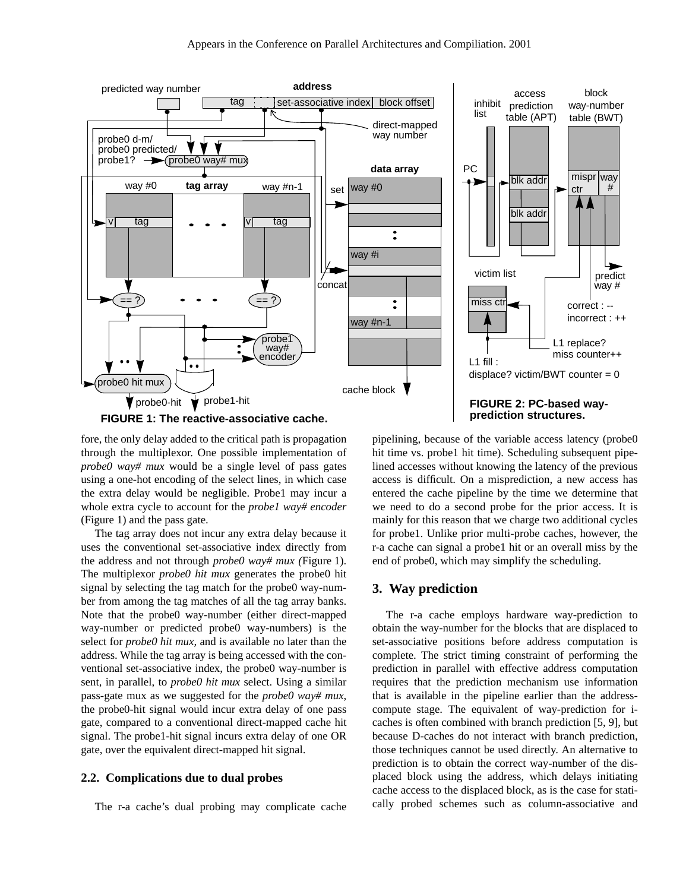

<span id="page-2-1"></span>fore, the only delay added to the critical path is propagation through the multiplexor. One possible implementation of *probe0 way# mux* would be a single level of pass gates using a one-hot encoding of the select lines, in which case the extra delay would be negligible. Probe1 may incur a whole extra cycle to account for the *probe1 way# encoder* [\(Figure 1\)](#page-2-1) and the pass gate.

The tag array does not incur any extra delay because it uses the conventional set-associative index directly from the address and not through *probe0 way# mux (*[Figure 1](#page-2-1)). The multiplexor *probe0 hit mux* generates the probe0 hit signal by selecting the tag match for the probe0 way-number from among the tag matches of all the tag array banks. Note that the probe0 way-number (either direct-mapped way-number or predicted probe0 way-numbers) is the select for *probe0 hit mux,* and is available no later than the address. While the tag array is being accessed with the conventional set-associative index, the probe0 way-number is sent, in parallel, to *probe0 hit mux* select. Using a similar pass-gate mux as we suggested for the *probe0 way# mux*, the probe0-hit signal would incur extra delay of one pass gate, compared to a conventional direct-mapped cache hit signal. The probe1-hit signal incurs extra delay of one OR gate, over the equivalent direct-mapped hit signal.

## **2.2. Complications due to dual probes**

The r-a cache's dual probing may complicate cache

<span id="page-2-2"></span>pipelining, because of the variable access latency (probe0 hit time vs. probe1 hit time). Scheduling subsequent pipelined accesses without knowing the latency of the previous access is difficult. On a misprediction, a new access has entered the cache pipeline by the time we determine that we need to do a second probe for the prior access. It is mainly for this reason that we charge two additional cycles for probe1. Unlike prior multi-probe caches, however, the r-a cache can signal a probe1 hit or an overall miss by the end of probe0, which may simplify the scheduling.

## <span id="page-2-0"></span>**3. Way prediction**

The r-a cache employs hardware way-prediction to obtain the way-number for the blocks that are displaced to set-associative positions before address computation is complete. The strict timing constraint of performing the prediction in parallel with effective address computation requires that the prediction mechanism use information that is available in the pipeline earlier than the addresscompute stage. The equivalent of way-prediction for icaches is often combined with branch prediction [5, 9], but because D-caches do not interact with branch prediction, those techniques cannot be used directly. An alternative to prediction is to obtain the correct way-number of the displaced block using the address, which delays initiating cache access to the displaced block, as is the case for statically probed schemes such as column-associative and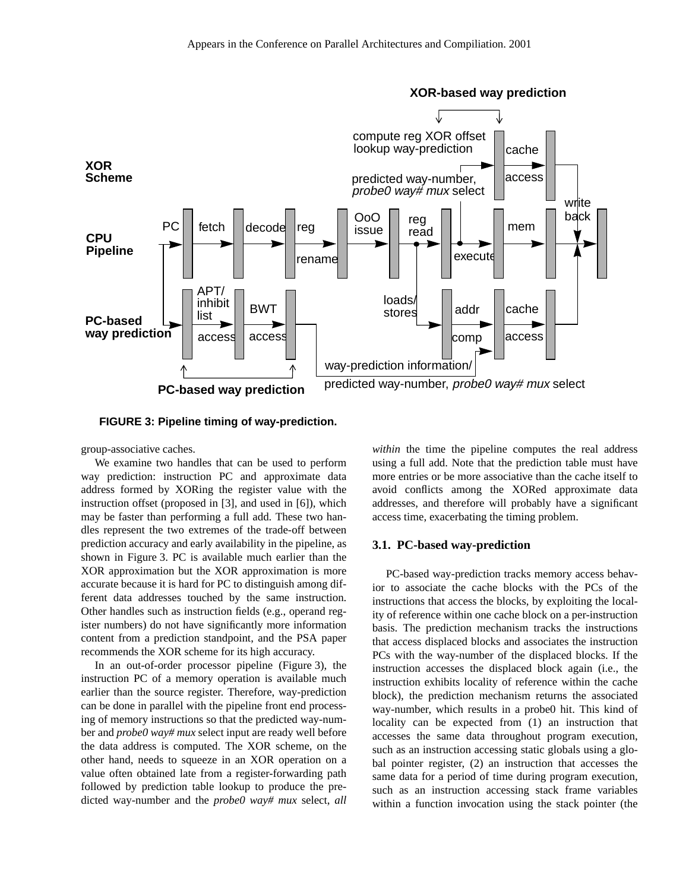

**XOR-based way prediction**

<span id="page-3-0"></span>**FIGURE 3: Pipeline timing of way-prediction.**

group-associative caches.

We examine two handles that can be used to perform way prediction: instruction PC and approximate data address formed by XORing the register value with the instruction offset (proposed in [3], and used in [6]), which may be faster than performing a full add. These two handles represent the two extremes of the trade-off between prediction accuracy and early availability in the pipeline, as shown in [Figure 3.](#page-3-0) PC is available much earlier than the XOR approximation but the XOR approximation is more accurate because it is hard for PC to distinguish among different data addresses touched by the same instruction. Other handles such as instruction fields (e.g., operand register numbers) do not have significantly more information content from a prediction standpoint, and the PSA paper recommends the XOR scheme for its high accuracy.

In an out-of-order processor pipeline [\(Figure 3\)](#page-3-0), the instruction PC of a memory operation is available much earlier than the source register. Therefore, way-prediction can be done in parallel with the pipeline front end processing of memory instructions so that the predicted way-number and *probe0 way# mux* select input are ready well before the data address is computed. The XOR scheme, on the other hand, needs to squeeze in an XOR operation on a value often obtained late from a register-forwarding path followed by prediction table lookup to produce the predicted way-number and the *probe0 way# mux* select, *all* *within* the time the pipeline computes the real address using a full add. Note that the prediction table must have more entries or be more associative than the cache itself to avoid conflicts among the XORed approximate data addresses, and therefore will probably have a significant access time, exacerbating the timing problem.

### **3.1. PC-based way-prediction**

PC-based way-prediction tracks memory access behavior to associate the cache blocks with the PCs of the instructions that access the blocks, by exploiting the locality of reference within one cache block on a per-instruction basis. The prediction mechanism tracks the instructions that access displaced blocks and associates the instruction PCs with the way-number of the displaced blocks. If the instruction accesses the displaced block again (i.e., the instruction exhibits locality of reference within the cache block), the prediction mechanism returns the associated way-number, which results in a probe0 hit. This kind of locality can be expected from (1) an instruction that accesses the same data throughout program execution, such as an instruction accessing static globals using a global pointer register, (2) an instruction that accesses the same data for a period of time during program execution, such as an instruction accessing stack frame variables within a function invocation using the stack pointer (the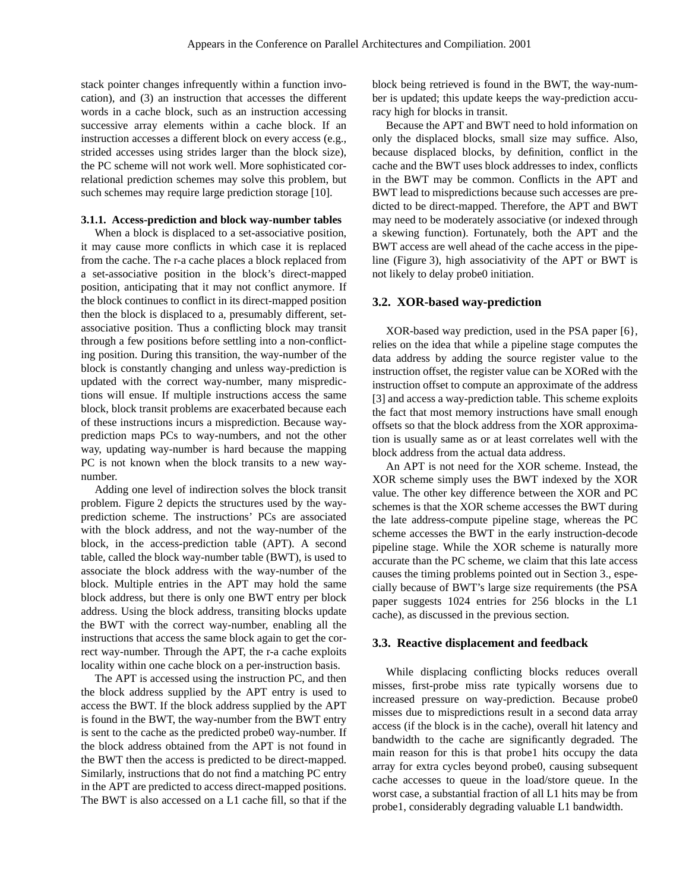stack pointer changes infrequently within a function invocation), and (3) an instruction that accesses the different words in a cache block, such as an instruction accessing successive array elements within a cache block. If an instruction accesses a different block on every access (e.g., strided accesses using strides larger than the block size), the PC scheme will not work well. More sophisticated correlational prediction schemes may solve this problem, but such schemes may require large prediction storage [10].

### **3.1.1. Access-prediction and block way-number tables**

When a block is displaced to a set-associative position, it may cause more conflicts in which case it is replaced from the cache. The r-a cache places a block replaced from a set-associative position in the block's direct-mapped position, anticipating that it may not conflict anymore. If the block continues to conflict in its direct-mapped position then the block is displaced to a, presumably different, setassociative position. Thus a conflicting block may transit through a few positions before settling into a non-conflicting position. During this transition, the way-number of the block is constantly changing and unless way-prediction is updated with the correct way-number, many mispredictions will ensue. If multiple instructions access the same block, block transit problems are exacerbated because each of these instructions incurs a misprediction. Because wayprediction maps PCs to way-numbers, and not the other way, updating way-number is hard because the mapping PC is not known when the block transits to a new waynumber.

Adding one level of indirection solves the block transit problem. [Figure 2](#page-2-2) depicts the structures used by the wayprediction scheme. The instructions' PCs are associated with the block address, and not the way-number of the block, in the access-prediction table (APT). A second table, called the block way-number table (BWT), is used to associate the block address with the way-number of the block. Multiple entries in the APT may hold the same block address, but there is only one BWT entry per block address. Using the block address, transiting blocks update the BWT with the correct way-number, enabling all the instructions that access the same block again to get the correct way-number. Through the APT, the r-a cache exploits locality within one cache block on a per-instruction basis.

The APT is accessed using the instruction PC, and then the block address supplied by the APT entry is used to access the BWT. If the block address supplied by the APT is found in the BWT, the way-number from the BWT entry is sent to the cache as the predicted probe0 way-number. If the block address obtained from the APT is not found in the BWT then the access is predicted to be direct-mapped. Similarly, instructions that do not find a matching PC entry in the APT are predicted to access direct-mapped positions. The BWT is also accessed on a L1 cache fill, so that if the block being retrieved is found in the BWT, the way-number is updated; this update keeps the way-prediction accuracy high for blocks in transit.

Because the APT and BWT need to hold information on only the displaced blocks, small size may suffice. Also, because displaced blocks, by definition, conflict in the cache and the BWT uses block addresses to index, conflicts in the BWT may be common. Conflicts in the APT and BWT lead to mispredictions because such accesses are predicted to be direct-mapped. Therefore, the APT and BWT may need to be moderately associative (or indexed through a skewing function). Fortunately, both the APT and the BWT access are well ahead of the cache access in the pipeline [\(Figure 3\)](#page-3-0), high associativity of the APT or BWT is not likely to delay probe0 initiation.

### <span id="page-4-0"></span>**3.2. XOR-based way-prediction**

XOR-based way prediction, used in the PSA paper [6}, relies on the idea that while a pipeline stage computes the data address by adding the source register value to the instruction offset, the register value can be XORed with the instruction offset to compute an approximate of the address [3] and access a way-prediction table. This scheme exploits the fact that most memory instructions have small enough offsets so that the block address from the XOR approximation is usually same as or at least correlates well with the block address from the actual data address.

An APT is not need for the XOR scheme. Instead, the XOR scheme simply uses the BWT indexed by the XOR value. The other key difference between the XOR and PC schemes is that the XOR scheme accesses the BWT during the late address-compute pipeline stage, whereas the PC scheme accesses the BWT in the early instruction-decode pipeline stage. While the XOR scheme is naturally more accurate than the PC scheme, we claim that this late access causes the timing problems pointed out in [Section 3.,](#page-2-0) especially because of BWT's large size requirements (the PSA paper suggests 1024 entries for 256 blocks in the L1 cache), as discussed in the previous section.

### **3.3. Reactive displacement and feedback**

While displacing conflicting blocks reduces overall misses, first-probe miss rate typically worsens due to increased pressure on way-prediction. Because probe0 misses due to mispredictions result in a second data array access (if the block is in the cache), overall hit latency and bandwidth to the cache are significantly degraded. The main reason for this is that probe1 hits occupy the data array for extra cycles beyond probe0, causing subsequent cache accesses to queue in the load/store queue. In the worst case, a substantial fraction of all L1 hits may be from probe1, considerably degrading valuable L1 bandwidth.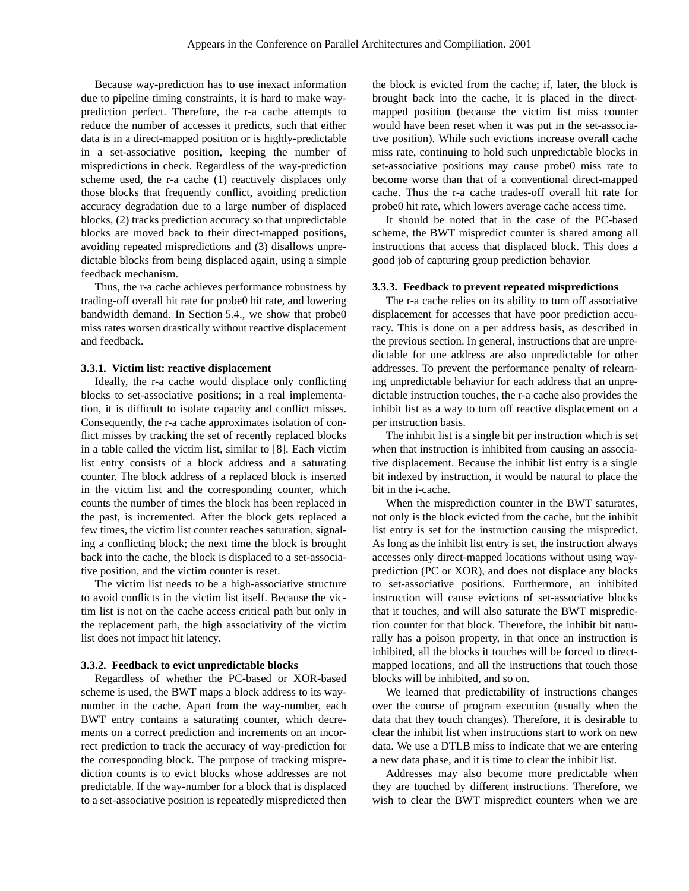Because way-prediction has to use inexact information due to pipeline timing constraints, it is hard to make wayprediction perfect. Therefore, the r-a cache attempts to reduce the number of accesses it predicts, such that either data is in a direct-mapped position or is highly-predictable in a set-associative position, keeping the number of mispredictions in check. Regardless of the way-prediction scheme used, the r-a cache (1) reactively displaces only those blocks that frequently conflict, avoiding prediction accuracy degradation due to a large number of displaced blocks, (2) tracks prediction accuracy so that unpredictable blocks are moved back to their direct-mapped positions, avoiding repeated mispredictions and (3) disallows unpredictable blocks from being displaced again, using a simple feedback mechanism.

Thus, the r-a cache achieves performance robustness by trading-off overall hit rate for probe0 hit rate, and lowering bandwidth demand. In [Section 5.4.](#page-10-0), we show that probe0 miss rates worsen drastically without reactive displacement and feedback.

### **3.3.1. Victim list: reactive displacement**

Ideally, the r-a cache would displace only conflicting blocks to set-associative positions; in a real implementation, it is difficult to isolate capacity and conflict misses. Consequently, the r-a cache approximates isolation of conflict misses by tracking the set of recently replaced blocks in a table called the victim list, similar to [8]. Each victim list entry consists of a block address and a saturating counter. The block address of a replaced block is inserted in the victim list and the corresponding counter, which counts the number of times the block has been replaced in the past, is incremented. After the block gets replaced a few times, the victim list counter reaches saturation, signaling a conflicting block; the next time the block is brought back into the cache, the block is displaced to a set-associative position, and the victim counter is reset.

The victim list needs to be a high-associative structure to avoid conflicts in the victim list itself. Because the victim list is not on the cache access critical path but only in the replacement path, the high associativity of the victim list does not impact hit latency.

### **3.3.2. Feedback to evict unpredictable blocks**

Regardless of whether the PC-based or XOR-based scheme is used, the BWT maps a block address to its waynumber in the cache. Apart from the way-number, each BWT entry contains a saturating counter, which decrements on a correct prediction and increments on an incorrect prediction to track the accuracy of way-prediction for the corresponding block. The purpose of tracking misprediction counts is to evict blocks whose addresses are not predictable. If the way-number for a block that is displaced to a set-associative position is repeatedly mispredicted then the block is evicted from the cache; if, later, the block is brought back into the cache, it is placed in the directmapped position (because the victim list miss counter would have been reset when it was put in the set-associative position). While such evictions increase overall cache miss rate, continuing to hold such unpredictable blocks in set-associative positions may cause probe0 miss rate to become worse than that of a conventional direct-mapped cache. Thus the r-a cache trades-off overall hit rate for probe0 hit rate, which lowers average cache access time.

It should be noted that in the case of the PC-based scheme, the BWT mispredict counter is shared among all instructions that access that displaced block. This does a good job of capturing group prediction behavior.

#### <span id="page-5-0"></span>**3.3.3. Feedback to prevent repeated mispredictions**

The r-a cache relies on its ability to turn off associative displacement for accesses that have poor prediction accuracy. This is done on a per address basis, as described in the previous section. In general, instructions that are unpredictable for one address are also unpredictable for other addresses. To prevent the performance penalty of relearning unpredictable behavior for each address that an unpredictable instruction touches, the r-a cache also provides the inhibit list as a way to turn off reactive displacement on a per instruction basis.

The inhibit list is a single bit per instruction which is set when that instruction is inhibited from causing an associative displacement. Because the inhibit list entry is a single bit indexed by instruction, it would be natural to place the bit in the i-cache.

When the misprediction counter in the BWT saturates, not only is the block evicted from the cache, but the inhibit list entry is set for the instruction causing the mispredict. As long as the inhibit list entry is set, the instruction always accesses only direct-mapped locations without using wayprediction (PC or XOR), and does not displace any blocks to set-associative positions. Furthermore, an inhibited instruction will cause evictions of set-associative blocks that it touches, and will also saturate the BWT misprediction counter for that block. Therefore, the inhibit bit naturally has a poison property, in that once an instruction is inhibited, all the blocks it touches will be forced to directmapped locations, and all the instructions that touch those blocks will be inhibited, and so on.

We learned that predictability of instructions changes over the course of program execution (usually when the data that they touch changes). Therefore, it is desirable to clear the inhibit list when instructions start to work on new data. We use a DTLB miss to indicate that we are entering a new data phase, and it is time to clear the inhibit list.

Addresses may also become more predictable when they are touched by different instructions. Therefore, we wish to clear the BWT mispredict counters when we are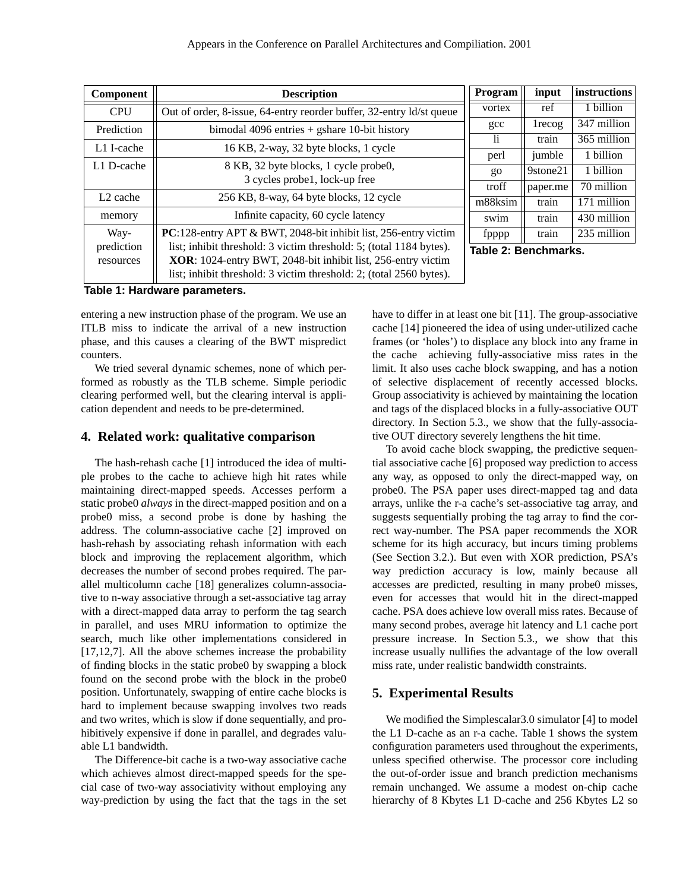| Component            | <b>Description</b>                                                   | Program              | input    | <i>instructions</i> |
|----------------------|----------------------------------------------------------------------|----------------------|----------|---------------------|
| <b>CPU</b>           | Out of order, 8-issue, 64-entry reorder buffer, 32-entry ld/st queue | vortex               | ref      | 1 billion           |
| Prediction           | bimodal 4096 entries $+$ gshare 10-bit history                       | $_{\rm gcc}$         | lrecog   | 347 million         |
| L1 I-cache           | 16 KB, 2-way, 32 byte blocks, 1 cycle                                | <sup>1</sup> i       | train    | 365 million         |
|                      |                                                                      | perl                 | jumble   | 1 billion           |
| L1 D-cache           | 8 KB, 32 byte blocks, 1 cycle probe0,                                | $g_{O}$              | 9stone21 | 1 billion           |
|                      | 3 cycles probe1, lock-up free                                        | troff                | paper.me | 70 million          |
| L <sub>2</sub> cache | 256 KB, 8-way, 64 byte blocks, 12 cycle                              | m88ksim              | train    | 171 million         |
| memory               | Infinite capacity, 60 cycle latency                                  | swim                 | train    | 430 million         |
| Way-                 | PC:128-entry APT & BWT, 2048-bit inhibit list, 256-entry victim      | fpppp                | train    | 235 million         |
| prediction           | list; inhibit threshold: 3 victim threshold: 5; (total 1184 bytes).  | Table 2: Benchmarks. |          |                     |
| resources            | XOR: 1024-entry BWT, 2048-bit inhibit list, 256-entry victim         |                      |          |                     |
|                      | list; inhibit threshold: 3 victim threshold: 2; (total 2560 bytes).  |                      |          |                     |

<span id="page-6-2"></span>**Table 1: Hardware parameters.**

entering a new instruction phase of the program. We use an ITLB miss to indicate the arrival of a new instruction phase, and this causes a clearing of the BWT mispredict counters.

We tried several dynamic schemes, none of which performed as robustly as the TLB scheme. Simple periodic clearing performed well, but the clearing interval is application dependent and needs to be pre-determined.

## <span id="page-6-0"></span>**4. Related work: qualitative comparison**

The hash-rehash cache [1] introduced the idea of multiple probes to the cache to achieve high hit rates while maintaining direct-mapped speeds. Accesses perform a static probe0 *always* in the direct-mapped position and on a probe0 miss, a second probe is done by hashing the address. The column-associative cache [2] improved on hash-rehash by associating rehash information with each block and improving the replacement algorithm, which decreases the number of second probes required. The parallel multicolumn cache [18] generalizes column-associative to n-way associative through a set-associative tag array with a direct-mapped data array to perform the tag search in parallel, and uses MRU information to optimize the search, much like other implementations considered in [17,12,7]. All the above schemes increase the probability of finding blocks in the static probe0 by swapping a block found on the second probe with the block in the probe0 position. Unfortunately, swapping of entire cache blocks is hard to implement because swapping involves two reads and two writes, which is slow if done sequentially, and prohibitively expensive if done in parallel, and degrades valuable L1 bandwidth.

The Difference-bit cache is a two-way associative cache which achieves almost direct-mapped speeds for the special case of two-way associativity without employing any way-prediction by using the fact that the tags in the set <span id="page-6-3"></span>have to differ in at least one bit [11]. The group-associative cache [14] pioneered the idea of using under-utilized cache frames (or 'holes') to displace any block into any frame in the cache-achieving fully-associative miss rates in the limit. It also uses cache block swapping, and has a notion of selective displacement of recently accessed blocks. Group associativity is achieved by maintaining the location and tags of the displaced blocks in a fully-associative OUT directory. In [Section 5.3.](#page-9-0), we show that the fully-associative OUT directory severely lengthens the hit time.

To avoid cache block swapping, the predictive sequential associative cache [6] proposed way prediction to access any way, as opposed to only the direct-mapped way, on probe0. The PSA paper uses direct-mapped tag and data arrays, unlike the r-a cache's set-associative tag array, and suggests sequentially probing the tag array to find the correct way-number. The PSA paper recommends the XOR scheme for its high accuracy, but incurs timing problems (See [Section 3.2.\)](#page-4-0). But even with XOR prediction, PSA's way prediction accuracy is low, mainly because all accesses are predicted, resulting in many probe0 misses, even for accesses that would hit in the direct-mapped cache. PSA does achieve low overall miss rates. Because of many second probes, average hit latency and L1 cache port pressure increase. In [Section 5.3.,](#page-9-0) we show that this increase usually nullifies the advantage of the low overall miss rate, under realistic bandwidth constraints.

# <span id="page-6-1"></span>**5. Experimental Results**

We modified the Simplescalar3.0 simulator [4] to model the L1 D-cache as an r-a cache. [Table 1](#page-6-2) shows the system configuration parameters used throughout the experiments, unless specified otherwise. The processor core including the out-of-order issue and branch prediction mechanisms remain unchanged. We assume a modest on-chip cache hierarchy of 8 Kbytes L1 D-cache and 256 Kbytes L2 so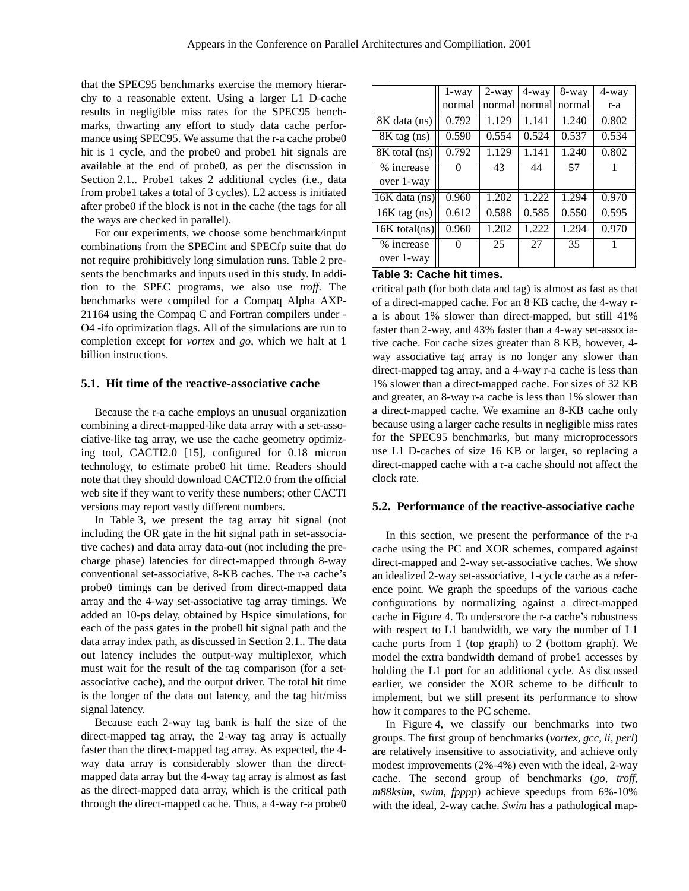that the SPEC95 benchmarks exercise the memory hierarchy to a reasonable extent. Using a larger L1 D-cache results in negligible miss rates for the SPEC95 benchmarks, thwarting any effort to study data cache performance using SPEC95. We assume that the r-a cache probe0 hit is 1 cycle, and the probe0 and probe1 hit signals are available at the end of probe0, as per the discussion in [Section 2.1.](#page-1-1). Probe1 takes 2 additional cycles (i.e., data from probe1 takes a total of 3 cycles). L2 access is initiated after probe0 if the block is not in the cache (the tags for all the ways are checked in parallel).

For our experiments, we choose some benchmark/input combinations from the SPECint and SPECfp suite that do not require prohibitively long simulation runs. [Table 2](#page-6-3) presents the benchmarks and inputs used in this study. In addition to the SPEC programs, we also use *troff*. The benchmarks were compiled for a Compaq Alpha AXP-21164 using the Compaq C and Fortran compilers under - O4 -ifo optimization flags. All of the simulations are run to completion except for *vortex* and *go*, which we halt at 1 billion instructions.

### **5.1. Hit time of the reactive-associative cache**

Because the r-a cache employs an unusual organization combining a direct-mapped-like data array with a set-associative-like tag array, we use the cache geometry optimizing tool, CACTI2.0 [15], configured for 0.18 micron technology, to estimate probe0 hit time. Readers should note that they should download CACTI2.0 from the official web site if they want to verify these numbers; other CACTI versions may report vastly different numbers.

In [Table 3](#page-7-0), we present the tag array hit signal (not including the OR gate in the hit signal path in set-associative caches) and data array data-out (not including the precharge phase) latencies for direct-mapped through 8-way conventional set-associative, 8-KB caches. The r-a cache's probe0 timings can be derived from direct-mapped data array and the 4-way set-associative tag array timings. We added an 10-ps delay, obtained by Hspice simulations, for each of the pass gates in the probe0 hit signal path and the data array index path, as discussed in [Section 2.1..](#page-1-1) The data out latency includes the output-way multiplexor, which must wait for the result of the tag comparison (for a setassociative cache), and the output driver. The total hit time is the longer of the data out latency, and the tag hit/miss signal latency.

Because each 2-way tag bank is half the size of the direct-mapped tag array, the 2-way tag array is actually faster than the direct-mapped tag array. As expected, the 4 way data array is considerably slower than the directmapped data array but the 4-way tag array is almost as fast as the direct-mapped data array, which is the critical path through the direct-mapped cache. Thus, a 4-way r-a probe0

|                        | 1-way  | $2$ -way | 4-way  | 8-way  | 4-way |
|------------------------|--------|----------|--------|--------|-------|
|                        | normal | normal   | normal | normal | r-a   |
| $8K \text{ data}$ (ns) | 0.792  | 1.129    | 1.141  | 1.240  | 0.802 |
| 8K tag (ns)            | 0.590  | 0.554    | 0.524  | 0.537  | 0.534 |
| 8K total (ns)          | 0.792  | 1.129    | 1.141  | 1.240  | 0.802 |
| % increase             | 0      | 43       | 44     | 57     |       |
| over 1-way             |        |          |        |        |       |
| $16K$ data (ns)        | 0.960  | 1.202    | 1.222  | 1.294  | 0.970 |
| $16K$ tag (ns)         | 0.612  | 0.588    | 0.585  | 0.550  | 0.595 |
| $16K$ total(ns)        | 0.960  | 1.202    | 1.222  | 1.294  | 0.970 |
| % increase             | 0      | 25       | 27     | 35     |       |
| over 1-way             |        |          |        |        |       |

## <span id="page-7-0"></span>**Table 3: Cache hit times.**

critical path (for both data and tag) is almost as fast as that of a direct-mapped cache. For an 8 KB cache, the 4-way ra is about 1% slower than direct-mapped, but still 41% faster than 2-way, and 43% faster than a 4-way set-associative cache. For cache sizes greater than 8 KB, however, 4 way associative tag array is no longer any slower than direct-mapped tag array, and a 4-way r-a cache is less than 1% slower than a direct-mapped cache. For sizes of 32 KB and greater, an 8-way r-a cache is less than 1% slower than a direct-mapped cache. We examine an 8-KB cache only because using a larger cache results in negligible miss rates for the SPEC95 benchmarks, but many microprocessors use L1 D-caches of size 16 KB or larger, so replacing a direct-mapped cache with a r-a cache should not affect the clock rate.

### <span id="page-7-1"></span>**5.2. Performance of the reactive-associative cache**

In this section, we present the performance of the r-a cache using the PC and XOR schemes, compared against direct-mapped and 2-way set-associative caches. We show an idealized 2-way set-associative, 1-cycle cache as a reference point. We graph the speedups of the various cache configurations by normalizing against a direct-mapped cache in [Figure 4](#page-8-0). To underscore the r-a cache's robustness with respect to L1 bandwidth, we vary the number of L1 cache ports from 1 (top graph) to 2 (bottom graph). We model the extra bandwidth demand of probe1 accesses by holding the L1 port for an additional cycle. As discussed earlier, we consider the XOR scheme to be difficult to implement, but we still present its performance to show how it compares to the PC scheme.

In [Figure 4,](#page-8-0) we classify our benchmarks into two groups. The first group of benchmarks (*vortex, gcc, li, perl*) are relatively insensitive to associativity, and achieve only modest improvements (2%-4%) even with the ideal, 2-way cache. The second group of benchmarks (*go, troff, m88ksim, swim, fpppp*) achieve speedups from 6%-10% with the ideal, 2-way cache. *Swim* has a pathological map-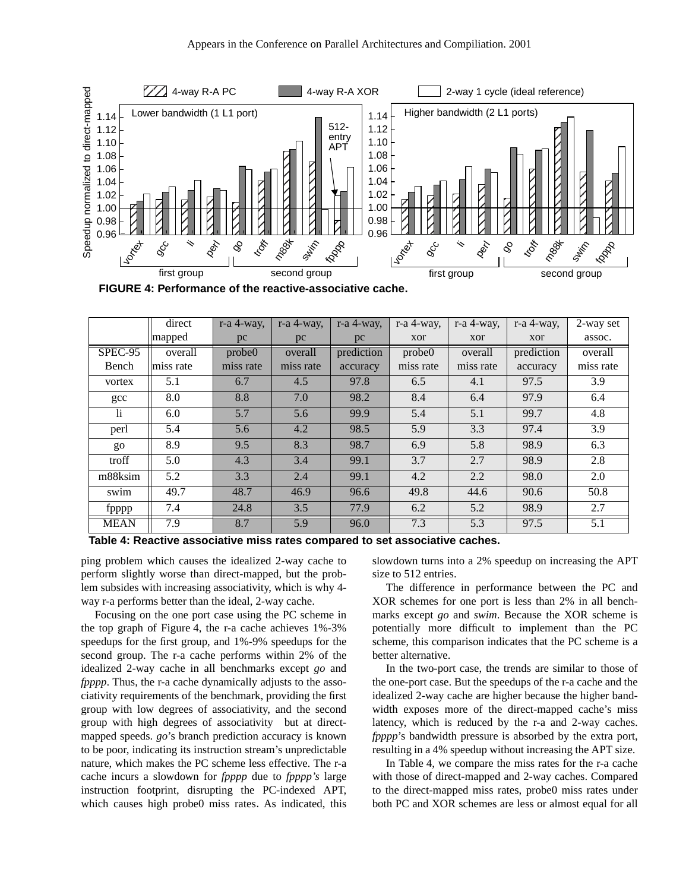

<span id="page-8-0"></span>**FIGURE 4: Performance of the reactive-associative cache.**

|              | direct    | $r-a$ 4-way,       | $r-a$ 4-way, | $r-a$ 4-way, | $r-a$ 4-way,       | $r-a$ 4-way, | r-a $4$ -way, | 2-way set        |
|--------------|-----------|--------------------|--------------|--------------|--------------------|--------------|---------------|------------------|
|              | mapped    | pc                 | pc           | pc           | xor                | xor          | xor           | assoc.           |
| SPEC-95      | overall   | probe <sub>0</sub> | overall      | prediction   | probe <sub>0</sub> | overall      | prediction    | overall          |
| Bench        | miss rate | miss rate          | miss rate    | accuracy     | miss rate          | miss rate    | accuracy      | miss rate        |
| vortex       | 5.1       | 6.7                | 4.5          | 97.8         | 6.5                | 4.1          | 97.5          | 3.9              |
| $_{\rm gcc}$ | 8.0       | 8.8                | 7.0          | 98.2         | 8.4                | 6.4          | 97.9          | 6.4              |
| li           | 6.0       | 5.7                | 5.6          | 99.9         | 5.4                | 5.1          | 99.7          | 4.8              |
| perl         | 5.4       | 5.6                | 4.2          | 98.5         | 5.9                | 3.3          | 97.4          | 3.9              |
| go           | 8.9       | 9.5                | 8.3          | 98.7         | 6.9                | 5.8          | 98.9          | 6.3              |
| troff        | 5.0       | 4.3                | 3.4          | 99.1         | 3.7                | 2.7          | 98.9          | 2.8              |
| m88ksim      | 5.2       | 3.3                | 2.4          | 99.1         | 4.2                | 2.2          | 98.0          | 2.0              |
| swim         | 49.7      | 48.7               | 46.9         | 96.6         | 49.8               | 44.6         | 90.6          | 50.8             |
| fpppp        | 7.4       | 24.8               | 3.5          | 77.9         | 6.2                | 5.2          | 98.9          | 2.7              |
| <b>MEAN</b>  | 7.9       | 8.7                | 5.9          | 96.0         | 7.3                | 5.3          | 97.5          | $\overline{5.1}$ |

<span id="page-8-1"></span>**Table 4: Reactive associative miss rates compared to set associative caches.**

ping problem which causes the idealized 2-way cache to perform slightly worse than direct-mapped, but the problem subsides with increasing associativity, which is why 4 way r-a performs better than the ideal, 2-way cache.

Focusing on the one port case using the PC scheme in the top graph of [Figure 4,](#page-8-0) the r-a cache achieves 1%-3% speedups for the first group, and 1%-9% speedups for the second group. The r-a cache performs within 2% of the idealized 2-way cache in all benchmarks except *go* and *fpppp*. Thus, the r-a cache dynamically adjusts to the associativity requirements of the benchmark, providing the first group with low degrees of associativity, and the second group with high degrees of associativity—but at directmapped speeds. *go*'s branch prediction accuracy is known to be poor, indicating its instruction stream's unpredictable nature, which makes the PC scheme less effective. The r-a cache incurs a slowdown for *fpppp* due to *fpppp's* large instruction footprint, disrupting the PC-indexed APT, which causes high probe0 miss rates. As indicated, this slowdown turns into a 2% speedup on increasing the APT size to 512 entries.

The difference in performance between the PC and XOR schemes for one port is less than 2% in all benchmarks except *go* and *swim*. Because the XOR scheme is potentially more difficult to implement than the PC scheme, this comparison indicates that the PC scheme is a better alternative.

In the two-port case, the trends are similar to those of the one-port case. But the speedups of the r-a cache and the idealized 2-way cache are higher because the higher bandwidth exposes more of the direct-mapped cache's miss latency, which is reduced by the r-a and 2-way caches. *fpppp*'s bandwidth pressure is absorbed by the extra port, resulting in a 4% speedup without increasing the APT size.

In [Table 4](#page-8-1), we compare the miss rates for the r-a cache with those of direct-mapped and 2-way caches. Compared to the direct-mapped miss rates, probe0 miss rates under both PC and XOR schemes are less or almost equal for all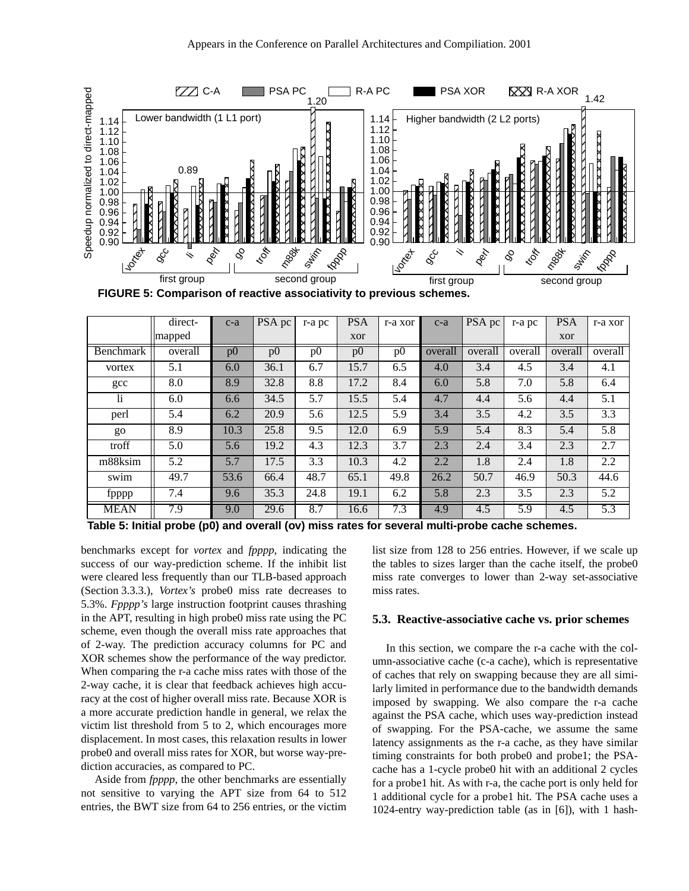

<span id="page-9-1"></span>

|                  | direct- | $c-a$          | PSA pc                      | r-a pc          | <b>PSA</b>     | r-a xor        | $c-a$   | PSA pc  | r-a pc  | <b>PSA</b> | r-a xor          |
|------------------|---------|----------------|-----------------------------|-----------------|----------------|----------------|---------|---------|---------|------------|------------------|
|                  | mapped  |                |                             |                 | xor            |                |         |         |         | xor        |                  |
| <b>Benchmark</b> | overall | $\overline{p}$ | $\overline{p}$ <sup>0</sup> | $\overline{p0}$ | p <sub>0</sub> | $\overline{p}$ | overall | overall | overall | overall    | overall          |
| vortex           | 5.1     | 6.0            | 36.1                        | 6.7             | 15.7           | 6.5            | 4.0     | 3.4     | 4.5     | 3.4        | 4.1              |
| $_{\rm gcc}$     | 8.0     | 8.9            | 32.8                        | 8.8             | 17.2           | 8.4            | 6.0     | 5.8     | 7.0     | 5.8        | 6.4              |
| $\mathbf{h}$     | 6.0     | 6.6            | 34.5                        | 5.7             | 15.5           | 5.4            | 4.7     | 4.4     | 5.6     | 4.4        | 5.1              |
| perl             | 5.4     | 6.2            | 20.9                        | 5.6             | 12.5           | 5.9            | 3.4     | 3.5     | 4.2     | 3.5        | 3.3              |
| $g_{0}$          | 8.9     | 10.3           | 25.8                        | 9.5             | 12.0           | 6.9            | 5.9     | 5.4     | 8.3     | 5.4        | 5.8              |
| troff            | 5.0     | 5.6            | 19.2                        | 4.3             | 12.3           | 3.7            | 2.3     | 2.4     | 3.4     | 2.3        | 2.7              |
| $m88$ ksim       | 5.2     | 5.7            | 17.5                        | 3.3             | 10.3           | 4.2            | 2.2     | 1.8     | 2.4     | 1.8        | 2.2              |
| swim             | 49.7    | 53.6           | 66.4                        | 48.7            | 65.1           | 49.8           | 26.2    | 50.7    | 46.9    | 50.3       | 44.6             |
| fpppp            | 7.4     | 9.6            | 35.3                        | 24.8            | 19.1           | 6.2            | 5.8     | 2.3     | 3.5     | 2.3        | 5.2              |
| <b>MEAN</b>      | 7.9     | 9.0            | 29.6                        | 8.7             | 16.6           | 7.3            | 4.9     | 4.5     | 5.9     | 4.5        | $\overline{5.3}$ |

<span id="page-9-2"></span>**Table 5: Initial probe (p0) and overall (ov) miss rates for several multi-probe cache schemes.**

benchmarks except for *vortex* and *fpppp*, indicating the success of our way-prediction scheme. If the inhibit list were cleared less frequently than our TLB-based approach [\(Section 3.3.3.](#page-5-0)), *Vortex's* probe0 miss rate decreases to 5.3%. *Fpppp's* large instruction footprint causes thrashing in the APT, resulting in high probe0 miss rate using the PC scheme, even though the overall miss rate approaches that of 2-way. The prediction accuracy columns for PC and XOR schemes show the performance of the way predictor. When comparing the r-a cache miss rates with those of the 2-way cache, it is clear that feedback achieves high accuracy at the cost of higher overall miss rate. Because XOR is a more accurate prediction handle in general, we relax the victim list threshold from 5 to 2, which encourages more displacement. In most cases, this relaxation results in lower probe0 and overall miss rates for XOR, but worse way-prediction accuracies, as compared to PC.

Aside from *fpppp*, the other benchmarks are essentially not sensitive to varying the APT size from 64 to 512 entries, the BWT size from 64 to 256 entries, or the victim list size from 128 to 256 entries. However, if we scale up the tables to sizes larger than the cache itself, the probe0 miss rate converges to lower than 2-way set-associative miss rates.

### <span id="page-9-0"></span>**5.3. Reactive-associative cache vs. prior schemes**

In this section, we compare the r-a cache with the column-associative cache (c-a cache), which is representative of caches that rely on swapping because they are all similarly limited in performance due to the bandwidth demands imposed by swapping. We also compare the r-a cache against the PSA cache, which uses way-prediction instead of swapping. For the PSA-cache, we assume the same latency assignments as the r-a cache, as they have similar timing constraints for both probe0 and probe1; the PSAcache has a 1-cycle probe0 hit with an additional 2 cycles for a probe1 hit. As with r-a, the cache port is only held for 1 additional cycle for a probe1 hit. The PSA cache uses a 1024-entry way-prediction table (as in [6]), with 1 hash-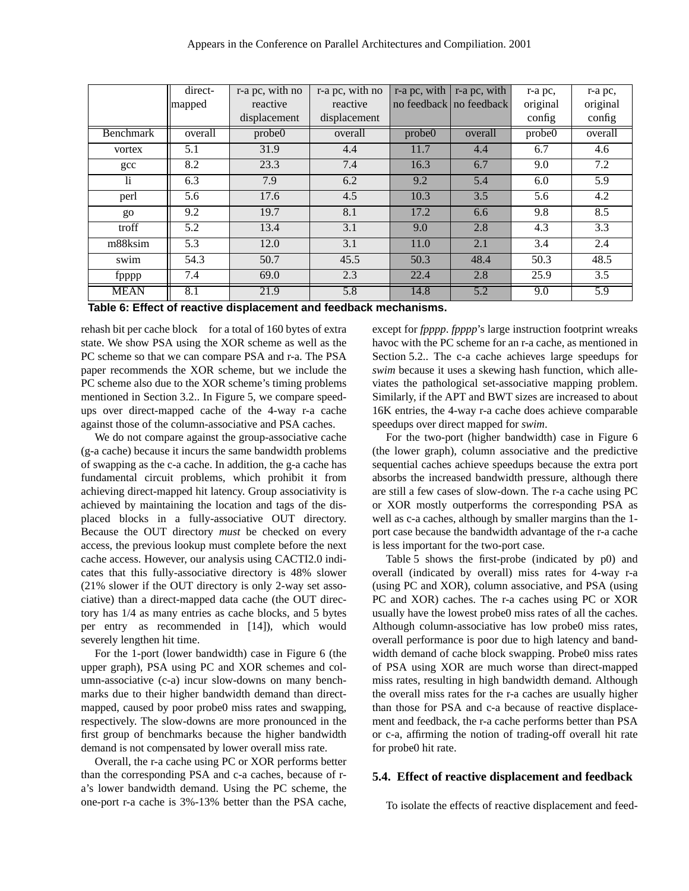|                  | direct- | r-a pc, with no | r-a pc, with no | r-a pc, with $\vert$ | r-a pc, with            | r-a pc,  | r-a pc,  |
|------------------|---------|-----------------|-----------------|----------------------|-------------------------|----------|----------|
|                  | mapped  | reactive        | reactive        |                      | no feedback no feedback | original | original |
|                  |         | displacement    | displacement    |                      |                         | config   | config   |
| <b>Benchmark</b> | overall | probe0          | overall         | probe <sub>0</sub>   | overall                 | probe0   | overall  |
| vortex           | 5.1     | 31.9            | 4.4             | 11.7                 | 4.4                     | 6.7      | 4.6      |
| $_{\rm gcc}$     | 8.2     | 23.3            | 7.4             | 16.3                 | 6.7                     | 9.0      | 7.2      |
| $\mathbf{h}$     | 6.3     | 7.9             | 6.2             | 9.2                  | 5.4                     | 6.0      | 5.9      |
| perl             | 5.6     | 17.6            | 4.5             | 10.3                 | 3.5                     | 5.6      | 4.2      |
| $g_{O}$          | 9.2     | 19.7            | 8.1             | 17.2                 | 6.6                     | 9.8      | 8.5      |
| troff            | 5.2     | 13.4            | 3.1             | 9.0                  | 2.8                     | 4.3      | 3.3      |
| m88ksim          | 5.3     | 12.0            | 3.1             | 11.0                 | 2.1                     | 3.4      | 2.4      |
| swim             | 54.3    | 50.7            | 45.5            | 50.3                 | 48.4                    | 50.3     | 48.5     |
| fpppp            | 7.4     | 69.0            | 2.3             | 22.4                 | 2.8                     | 25.9     | 3.5      |
| <b>MEAN</b>      | 8.1     | 21.9            | 5.8             | 14.8                 | 5.2                     | 9.0      | 5.9      |

<span id="page-10-1"></span>**Table 6: Effect of reactive displacement and feedback mechanisms.**

rehash bit per cache block-for a total of 160 bytes of extra state. We show PSA using the XOR scheme as well as the PC scheme so that we can compare PSA and r-a. The PSA paper recommends the XOR scheme, but we include the PC scheme also due to the XOR scheme's timing problems mentioned in [Section 3.2.](#page-4-0). In [Figure 5](#page-9-1), we compare speedups over direct-mapped cache of the 4-way r-a cache against those of the column-associative and PSA caches.

We do not compare against the group-associative cache (g-a cache) because it incurs the same bandwidth problems of swapping as the c-a cache. In addition, the g-a cache has fundamental circuit problems, which prohibit it from achieving direct-mapped hit latency. Group associativity is achieved by maintaining the location and tags of the displaced blocks in a fully-associative OUT directory. Because the OUT directory *must* be checked on every access, the previous lookup must complete before the next cache access. However, our analysis using CACTI2.0 indicates that this fully-associative directory is 48% slower (21% slower if the OUT directory is only 2-way set associative) than a direct-mapped data cache (the OUT directory has 1/4 as many entries as cache blocks, and 5 bytes per entry—as recommended in [14]), which would severely lengthen hit time.

For the 1-port (lower bandwidth) case in Figure 6 (the upper graph), PSA using PC and XOR schemes and column-associative (c-a) incur slow-downs on many benchmarks due to their higher bandwidth demand than directmapped, caused by poor probe0 miss rates and swapping, respectively. The slow-downs are more pronounced in the first group of benchmarks because the higher bandwidth demand is not compensated by lower overall miss rate.

Overall, the r-a cache using PC or XOR performs better than the corresponding PSA and c-a caches, because of ra's lower bandwidth demand. Using the PC scheme, the one-port r-a cache is 3%-13% better than the PSA cache,

except for *fpppp*. *fpppp*'s large instruction footprint wreaks havoc with the PC scheme for an r-a cache, as mentioned in [Section 5.2.](#page-7-1). The c-a cache achieves large speedups for *swim* because it uses a skewing hash function, which alleviates the pathological set-associative mapping problem. Similarly, if the APT and BWT sizes are increased to about 16K entries, the 4-way r-a cache does achieve comparable speedups over direct mapped for *swim*.

For the two-port (higher bandwidth) case in Figure 6 (the lower graph), column associative and the predictive sequential caches achieve speedups because the extra port absorbs the increased bandwidth pressure, although there are still a few cases of slow-down. The r-a cache using PC or XOR mostly outperforms the corresponding PSA as well as c-a caches, although by smaller margins than the 1 port case because the bandwidth advantage of the r-a cache is less important for the two-port case.

[Table 5](#page-9-2) shows the first-probe (indicated by p0) and overall (indicated by overall) miss rates for 4-way r-a (using PC and XOR), column associative, and PSA (using PC and XOR) caches. The r-a caches using PC or XOR usually have the lowest probe0 miss rates of all the caches. Although column-associative has low probe0 miss rates, overall performance is poor due to high latency and bandwidth demand of cache block swapping. Probe0 miss rates of PSA using XOR are much worse than direct-mapped miss rates, resulting in high bandwidth demand. Although the overall miss rates for the r-a caches are usually higher than those for PSA and c-a because of reactive displacement and feedback, the r-a cache performs better than PSA or c-a, affirming the notion of trading-off overall hit rate for probe0 hit rate.

## <span id="page-10-0"></span>**5.4. Effect of reactive displacement and feedback**

To isolate the effects of reactive displacement and feed-